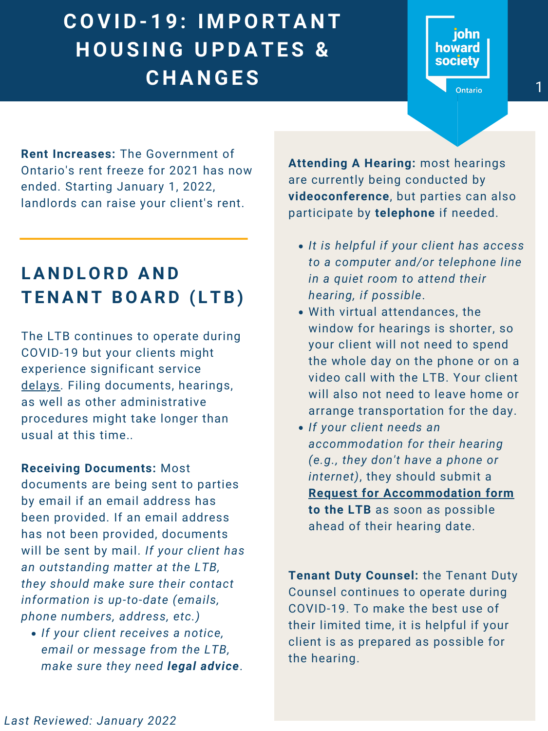**Rent Increases:** The Government of Ontario's rent freeze for 2021 has now ended. Starting January 1, 2022, landlords can raise your client's rent.

## E R E R K E R K E R K E R K E R K E R K E R K E R K E R K E R K E R K E R K E R K E R K E R K E R K E R K E R A Reserve About Climate COVID-19. INTONIANT<br>
HOUSING UPDATES & **C O V I D - 1 9 : I M P O R T A N T H O U S I N G U P D A T E S & C H A N G E S** <sup>1</sup>

The LTB continues to operate during COVID-19 but your clients might experience significant service

# **L A N D L O R D A N D T E N A N T B O A R D ( L T B )**

delays. Filing documents, hearings, as well as other administrative procedures might take longer than usual at this time.*.*

*If your client receives a notice, email or message from the LTB, make sure they need legal advice*.

#### **Receiving Documents:** Most

documents are being sent to parties by email if an email address has been provided. If an email address has not been provided, documents will be sent by mail. *If your client has an outstanding matter at the LTB, they should make sure their contact information is up-to-date (emails, phone numbers, address, etc.)*

- *It is helpful if your client has access to a computer and/or telephone line in a quiet room to attend their hearing, if possible*.
- With virtual attendances, the window for hearings is shorter, so your client will not need to spend the whole day on the phone or on a video call with the LTB. Your client will also not need to leave home or arrange transportation for the day. *If your client needs an accommodation for their hearing (e.g., they don't have a phone or internet)*, they should submit a **[Request for Accommodation form](https://tribunalsontario.ca/documents/TO/TO001E.pdf) to the LTB** as soon as possible ahead of their hearing date.

**Attending A Hearing:** most hearings are currently being conducted by **videoconference**, but parties can also participate by **telephone** if needed.

**SOCIETY**<br> **V** Ontario

**Tenant Duty Counsel:** the Tenant Duty Counsel continues to operate during COVID-19. To make the best use of their limited time, it is helpful if your client is as prepared as possible for the hearing.